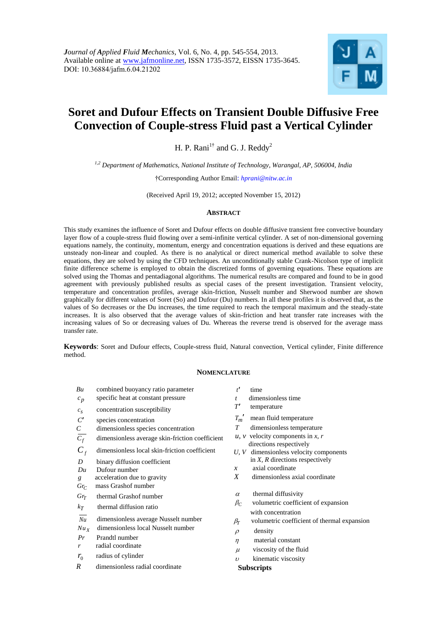

of thermal expansion

# **Soret and Dufour Effects on Transient Double Diffusive Free Convection of Couple-stress Fluid past a Vertical Cylinder**

H. P. Rani<sup>1†</sup> and G. J. Reddy<sup>2</sup>

*1,2 Department of Mathematics, National Institute of Technology, Warangal, AP, 506004, India*

†Corresponding Author Email: *hprani@nitw.ac.in* 

(Received April 19, 2012; accepted November 15, 2012)

## **ABSTRACT**

This study examines the influence of Soret and Dufour effects on double diffusive transient free convective boundary layer flow of a couple-stress fluid flowing over a semi-infinite vertical cylinder. A set of non-dimensional governing equations namely, the continuity, momentum, energy and concentration equations is derived and these equations are unsteady non-linear and coupled. As there is no analytical or direct numerical method available to solve these equations, they are solved by using the CFD techniques. An unconditionally stable Crank-Nicolson type of implicit finite difference scheme is employed to obtain the discretized forms of governing equations. These equations are solved using the Thomas and pentadiagonal algorithms. The numerical results are compared and found to be in good agreement with previously published results as special cases of the present investigation. Transient velocity, temperature and concentration profiles, average skin-friction, Nusselt number and Sherwood number are shown graphically for different values of Soret (So) and Dufour (Du) numbers. In all these profiles it is observed that, as the values of So decreases or the Du increases, the time required to reach the temporal maximum and the steady-state increases. It is also observed that the average values of skin-friction and heat transfer rate increases with the increasing values of So or decreasing values of Du. Whereas the reverse trend is observed for the average mass transfer rate.

**Keywords**: Soret and Dufour effects, Couple-stress fluid, Natural convection, Vertical cylinder, Finite difference method.

## **NOMENCLATURE**

| Bu               | combined buoyancy ratio parameter               | t'                | time                                                          |
|------------------|-------------------------------------------------|-------------------|---------------------------------------------------------------|
| $c_p$            | specific heat at constant pressure              | $\mathbf{t}$      | dimensionless time                                            |
| $c_s$            | concentration susceptibility                    | T'                | temperature                                                   |
| $C^\prime$       | species concentration                           | $T_m$             | mean fluid temperature                                        |
| $\,$             | dimensionless species concentration             | T                 | dimensionless temperature                                     |
| $\overline{C_f}$ | dimensionless average skin-friction coefficient |                   | $u, v$ velocity components in x, r<br>directions respectively |
| $C_f$            | dimensionless local skin-friction coefficient   | U.V               | dimensionless velocity components                             |
| D                | binary diffusion coefficient                    |                   | in $X$ , $R$ directions respectively                          |
| Du               | Dufour number                                   | $\mathfrak{X}$    | axial coordinate                                              |
| g                | acceleration due to gravity                     | Χ                 | dimensionless axial coordinate                                |
| $Gr_C$           | mass Grashof number                             |                   |                                                               |
| $Gr_{T}$         | thermal Grashof number                          | $\alpha$          | thermal diffusivity                                           |
| $k_T$            | thermal diffusion ratio                         | $\beta_C$         | volumetric coefficient of expansion<br>with concentration     |
| Nu               | dimensionless average Nusselt number            | $\beta_T$         | volumetric coefficient of thermal ex                          |
| $Nu_X$           | dimensionless local Nusselt number              |                   | density                                                       |
| Pr               | Prandtl number                                  | $\rho$            |                                                               |
| r                | radial coordinate                               | $\eta$            | material constant                                             |
|                  | radius of cylinder                              | $\mu$             | viscosity of the fluid                                        |
| $r_{0}$          |                                                 | $\upsilon$        | kinematic viscosity                                           |
| R                | dimensionless radial coordinate                 | <b>Subscripts</b> |                                                               |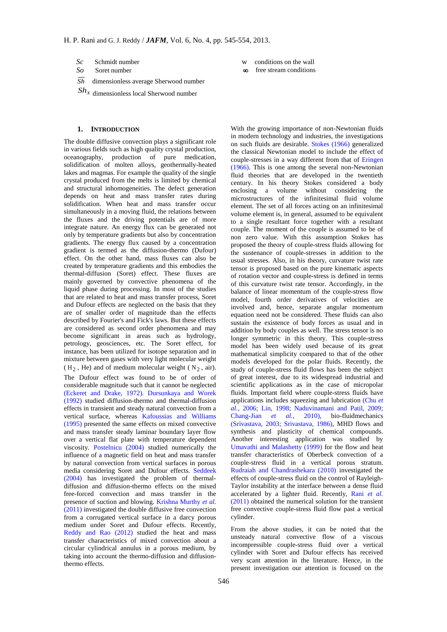- *Sc* Schmidt number
- So Soret number
- *Sh* dimensionless average Sherwood number

*Sh<sup>X</sup>* dimensionless local Sherwood number

## **1. INTRODUCTION**

The double diffusive convection plays a significant role in various fields such as high quality crystal production, oceanography, production of pure medication, solidification of molten alloys, geothermally-heated lakes and magmas. For example the quality of the single crystal produced from the melts is limited by chemical and structural inhomogeneities. The defect generation depends on heat and mass transfer rates during solidification. When heat and mass transfer occur simultaneously in a moving fluid, the relations between the fluxes and the driving potentials are of more integrate nature. An energy flux can be generated not only by temperature gradients but also by concentration gradients. The energy flux caused by a concentration gradient is termed as the diffusion-thermo (Dufour) effect. On the other hand, mass fluxes can also be created by temperature gradients and this embodies the thermal-diffusion (Soret) effect. These fluxes are mainly governed by convective phenomena of the liquid phase during processing. In most of the studies that are related to heat and mass transfer process, Soret and Dufour effects are neglected on the basis that they are of smaller order of magnitude than the effects described by Fourier's and Fick's laws. But these effects are considered as second order phenomena and may become significant in areas such as hydrology, petrology, geosciences, etc. The Soret effect, for instance, has been utilized for isotope separation and in mixture between gases with very light molecular weight  $(H_2, He)$  and of medium molecular weight ( $N_2$ , air).

The Dufour effect was found to be of order of considerable magnitude such that it cannot be neglected (Eckeret and Drake, 1972). Dursunkaya and Worek (1992) studied diffusion-thermo and thermal-diffusion effects in transient and steady natural convection from a vertical surface, whereas Kafoussias and Williams (1995) presented the same effects on mixed convective and mass transfer steady laminar boundary layer flow over a vertical flat plate with temperature dependent viscosity. Postelnicu (2004) studied numerically the influence of a magnetic field on heat and mass transfer by natural convection from vertical surfaces in porous media considering Soret and Dufour effects. Seddeek (2004) has investigated the problem of thermaldiffusion and diffusion-thermo effects on the mixed free-forced convection and mass transfer in the presence of suction and blowing. Krishna Murthy *et al.* (2011) investigated the double diffusive free convection from a corrugated vertical surface in a darcy porous medium under Soret and Dufour effects. Recently, Reddy and Rao (2012) studied the heat and mass transfer characteristics of mixed convection about a circular cylindrical annulus in a porous medium, by taking into account the thermo-diffusion and diffusionthermo effects.

- **w** conditions on the wall
- free stream conditions

With the growing importance of non-Newtonian fluids in modern technology and industries, the investigations on such fluids are desirable. Stokes (1966) generalized the classical Newtonian model to include the effect of couple-stresses in a way different from that of Eringen (1966). This is one among the several non-Newtonian fluid theories that are developed in the twentieth century. In his theory Stokes considered a body enclosing a volume without considering the microstructures of the infinitesimal fluid volume element. The set of all forces acting on an infinitesimal volume element is, in general, assumed to be equivalent to a single resultant force together with a resultant couple. The moment of the couple is assumed to be of non zero value. With this assumption Stokes has proposed the theory of couple-stress fluids allowing for the sustenance of couple-stresses in addition to the usual stresses. Also, in his theory, curvature twist rate tensor is proposed based on the pure kinematic aspects of rotation vector and couple-stress is defined in terms of this curvature twist rate tensor. Accordingly, in the balance of linear momentum of the couple-stress flow model, fourth order derivatives of velocities are involved and, hence, separate angular momentum equation need not be considered. These fluids can also sustain the existence of body forces as usual and in addition by body couples as well. The stress tensor is no longer symmetric in this theory. This couple-stress model has been widely used because of its great mathematical simplicity compared to that of the other models developed for the polar fluids. Recently, the study of couple-stress fluid flows has been the subject of great interest, due to its widespread industrial and scientific applications as in the case of micropolar fluids. Important field where couple-stress fluids have applications includes squeezing and lubrication (Chu *et al.*, 2006; Lin, 1998; Naduvinamani and Patil, 2009; Chang-Jian *et al.,* 2010), bio-fluidmechanics (Srivastava, 2003; Srivastava, 1986), MHD flows and synthesis and plasticity of chemical compounds. Another interesting application was studied by Umavathi and Malashetty (1999) for the flow and heat transfer characteristics of Oberbeck convection of a couple-stress fluid in a vertical porous stratum. Rudraiah and Chandrashekara (2010) investigated the effects of couple-stress fluid on the control of Rayleigh-Taylor instability at the interface between a dense fluid accelerated by a lighter fluid. Recently, Rani *et al.* (2011) obtained the numerical solution for the transient free convective couple-stress fluid flow past a vertical cylinder.

From the above studies, it can be noted that the unsteady natural convective flow of a viscous incompressible couple-stress fluid over a vertical cylinder with Soret and Dufour effects has received very scant attention in the literature. Hence, in the present investigation our attention is focused on the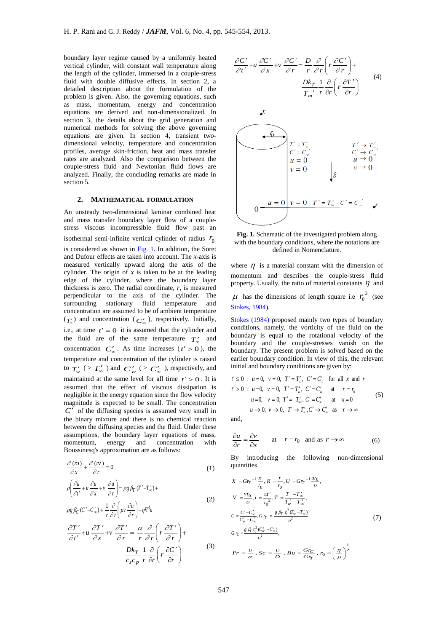boundary layer regime caused by a uniformly heated vertical cylinder, with constant wall temperature along the length of the cylinder, immersed in a couple-stress fluid with double diffusive effects. In section 2, a detailed description about the formulation of the problem is given. Also, the governing equations, such as mass, momentum, energy and concentration equations are derived and non-dimensionalized. In section 3, the details about the grid generation and numerical methods for solving the above governing equations are given. In section 4, transient twodimensional velocity, temperature and concentration profiles, average skin-friction, heat and mass transfer rates are analyzed. Also the comparison between the couple-stress fluid and Newtonian fluid flows are analyzed. Finally, the concluding remarks are made in section 5.

## **2. MATHEMATICAL FORMULATION**

An unsteady two-dimensional laminar combined heat and mass transfer boundary layer flow of a couplestress viscous incompressible fluid flow past an isothermal semi-infinite vertical cylinder of radius  $r_0$ is considered as shown in  $Fig. 1$ . In addition, the Soret and Dufour effects are taken into account. The *x*-axis is measured vertically upward along the axis of the cylinder. The origin of  $x$  is taken to be at the leading edge of the cylinder, where the boundary layer thickness is zero. The radial coordinate, *r*, is measured perpendicular to the axis of the cylinder. The surrounding stationary fluid temperature and concentration are assumed to be of ambient temperature  $(\tau'_{\infty})$  and concentration ( $C'_{\infty}$ ), respectively. Initially, i.e., at time  $t' = 0$  it is assumed that the cylinder and the fluid are of the same temperature  $T'_{\infty}$  and concentration  $C'_{\infty}$ . As time increases ( $t' > 0$ ), the temperature and concentration of the cylinder is raised to  $T_w$  (>  $T_\infty$ ) and  $C_w$  (>  $C_\infty$ ), respectively, and maintained at the same level for all time  $t' > 0$ . It is assumed that the effect of viscous dissipation is negligible in the energy equation since the flow velocity magnitude is expected to be small. The concentration  $C'$  of the diffusing species is assumed very small in the binary mixture and there is no chemical reaction between the diffusing species and the fluid. Under these assumptions, the boundary layer equations of mass, momentum, energy and concentration with Boussinesq's approximation are as follows:

$$
\frac{\partial (nu)}{\partial x} + \frac{\partial (nv)}{\partial r} = 0
$$
\n
$$
\rho \left( \frac{\partial u}{\partial t'} + u \frac{\partial u}{\partial x} + v \frac{\partial u}{\partial r} \right) = \rho g \beta_T (T' - T'_{\infty}) +
$$
\n
$$
\rho g \beta_C (C' - C'_{\infty}) + \frac{1}{r} \frac{\partial}{\partial r} \left( \mu r \frac{\partial u}{\partial r} \right) - \eta \nabla^4 u
$$
\n(2)

$$
\frac{\partial T'}{\partial t'} + u \frac{\partial T'}{\partial x} + v \frac{\partial T'}{\partial r} = \frac{\alpha}{r} \frac{\partial}{\partial r} \left( r \frac{\partial T'}{\partial r} \right) +
$$

$$
\frac{Dk_T}{c_s c_p} \frac{1}{r} \frac{\partial}{\partial r} \left( r \frac{\partial C'}{\partial r} \right) \tag{3}
$$



**Fig. 1.** Schematic of the investigated problem along with the boundary conditions, where the notations are defined in Nomenclature.

where  $\eta$  is a material constant with the dimension of momentum and describes the couple-stress fluid property. Usually, the ratio of material constants  $\eta$  and  $\mu$  has the dimensions of length square i.e  $r_0^2$  $r_0^2$  (see

Stokes, 1984).

Stokes (1984) proposed mainly two types of boundary conditions, namely, the vorticity of the fluid on the boundary is equal to the rotational velocity of the boundary and the couple-stresses vanish on the boundary. The present problem is solved based on the earlier boundary condition. In view of this, the relevant

initial and boundary conditions are given by:  
\n
$$
t' \le 0
$$
:  $u = 0$ ,  $v = 0$ ,  $T' = T'_\nL$ ,  $C' = C'_\nL$  for all x and r  
\n $t' > 0$ :  $u = 0$ ,  $v = 0$ ,  $T' = T'_\nL$ ,  $C' = C'_\nL$  at  $r = r_0$   
\n $u = 0$ ,  $v = 0$ ,  $T' = T'_\nL$ ,  $C' = C'_\nL$  at  $x = 0$   
\n $u \rightarrow 0$ ,  $v \rightarrow 0$ ,  $T' \rightarrow T'_\nL$ ,  $C' \rightarrow C'_\nL$  as  $r \rightarrow \infty$ 

and,

$$
\frac{\partial u}{\partial r} = \frac{\partial v}{\partial x} \qquad \text{at} \qquad r = r_0 \quad \text{and as} \quad r \to \infty \tag{6}
$$

By introducing the following non-dimensional quantities

$$
X = G r_{T}^{-1} \frac{x}{r_{0}}, R = \frac{r}{r_{0}}, U = G r_{T}^{-1} \frac{u r_{0}}{v},
$$
  
\n
$$
V = \frac{v r_{0}}{v}, t = \frac{v t'}{r_{0}^{2}}, T = \frac{T' - T'_{\infty}}{T'_{w} - T'_{\infty}},
$$
  
\n
$$
C = \frac{C' - C'_{\infty}}{C'_{w} - C'_{\infty}}, G r_{T} = \frac{g \beta_{T} r_{0}^{3} (T'_{w} - T'_{\infty})}{v^{2}},
$$
  
\n
$$
G r_{C} = \frac{g \beta_{C} r_{0}^{3} (C'_{w} - C'_{\infty})}{v^{2}},
$$
  
\n
$$
Pr = \frac{U}{\alpha}, Sc = \frac{U}{D}, Bu = \frac{Gr_{C}}{Gr_{T}}, r_{0} = \left(\frac{\eta}{\mu}\right)^{\frac{1}{2}}
$$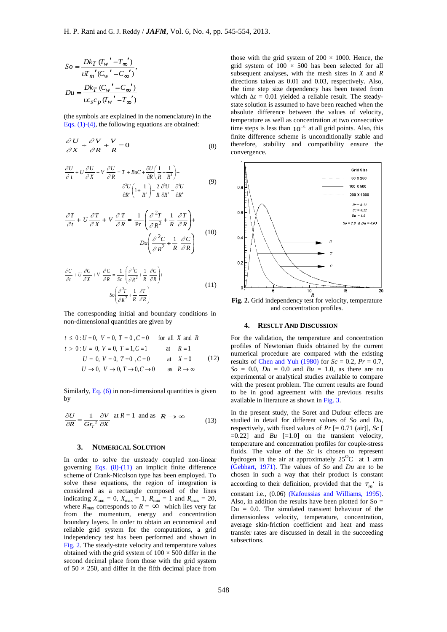$$
So = \frac{Dk_T (T_w' - T_{\infty}')}{\nu T_m'(C_w' - C_{\infty}')},
$$
  

$$
Du = \frac{Dk_T (C_w' - C_{\infty}')}{\nu c_s c_p (T_w' - T_{\infty}')}
$$

(the symbols are explained in the nomenclature) in the Eqs.  $(1)-(4)$ , the following equations are obtained:

$$
\frac{\partial U}{\partial X} + \frac{\partial V}{\partial R} + \frac{V}{R} = 0
$$
 (8)

$$
\frac{\partial U}{\partial t} + U \frac{\partial U}{\partial X} + V \frac{\partial U}{\partial R} = T + B u C + \frac{\partial U}{\partial R} \left( \frac{1}{R} - \frac{1}{R^3} \right) +
$$

$$
\frac{\partial^2 U}{\partial R^2} \left( 1 + \frac{1}{R^2} \right) - \frac{2}{R} \frac{\partial^3 U}{\partial R^3} - \frac{\partial^4 U}{\partial R^4}
$$
(9)

$$
\frac{\partial T}{\partial t} + U \frac{\partial T}{\partial X} + V \frac{\partial T}{\partial R} = \frac{1}{\text{Pr}} \left( \frac{\partial^2 T}{\partial R^2} + \frac{1}{R} \frac{\partial T}{\partial R} \right) +
$$
  

$$
Du \left( \frac{\partial^2 C}{\partial R^2} + \frac{1}{R} \frac{\partial C}{\partial R} \right) \tag{10}
$$

$$
\frac{\partial C}{\partial t} + U \frac{\partial C}{\partial X} + V \frac{\partial C}{\partial R} = \frac{1}{Sc} \left( \frac{\partial^2 C}{\partial R^2} + \frac{1}{R} \frac{\partial C}{\partial R} \right) +
$$
  

$$
S_o \left( \frac{\partial^2 T}{\partial R^2} + \frac{1}{R} \frac{\partial T}{\partial R} \right)
$$
(11)

The corresponding initial and boundary conditions in

non-dimensional quantities are given by  
\n
$$
t \le 0
$$
:  $U = 0$ ,  $V = 0$ ,  $T = 0$ ,  $C = 0$  for all X and R  
\n $t > 0$ :  $U = 0$ ,  $V = 0$ ,  $T = 1$ ,  $C = 1$  at  $R = 1$   
\n $U = 0$ ,  $V = 0$ ,  $T = 0$ ,  $C = 0$  at  $X = 0$   
\n $U \rightarrow 0$ ,  $V \rightarrow 0$ ,  $T \rightarrow 0$ ,  $C \rightarrow 0$  as  $R \rightarrow \infty$ 

Similarly, Eq. (6) in non-dimensional quantities is given by

$$
\frac{\partial U}{\partial R} = \frac{1}{Gr_r^2} \frac{\partial V}{\partial X} \text{ at } R = 1 \text{ and as } R \to \infty
$$
 (13)

## **3. NUMERICAL SOLUTION**

 $\frac{(T_W' - T_\infty')}{(C_W' - C_\infty')}$ <br>  $(\frac{C_W' - C_\infty')}{(C_W' - C_\infty')}$ <br>  $(\frac{C_W' - C_\infty')}{(C_W' - C_\infty')}$ <br>
are explained in the nonomelature) in the<br>
the following equations are obtained:<br>
the following equations are obtained:<br>  $\frac{\partial^2 U}{\partial R^2} (1 + \$ In order to solve the unsteady coupled non-linear governing Eqs.  $(8)-(11)$  an implicit finite difference scheme of Crank-Nicolson type has been employed. To solve these equations, the region of integration is considered as a rectangle composed of the lines indicating  $X_{\text{min}} = 0$ ,  $X_{\text{max}} = 1$ ,  $R_{\text{min}} = 1$  and  $R_{\text{max}} = 20$ , where  $R_{\text{max}}$  corresponds to  $R = \infty$  which lies very far from the momentum, energy and concentration boundary layers. In order to obtain an economical and reliable grid system for the computations, a grid independency test has been performed and shown in Fig. 2. The steady-state velocity and temperature values obtained with the grid system of  $100 \times 500$  differ in the second decimal place from those with the grid system of  $50 \times 250$ , and differ in the fifth decimal place from

those with the grid system of  $200 \times 1000$ . Hence, the grid system of  $100 \times 500$  has been selected for all subsequent analyses, with the mesh sizes in *X* and *R* directions taken as 0.01 and 0.03, respectively. Also, the time step size dependency has been tested from which *∆t* = 0.01 yielded a reliable result. The steadystate solution is assumed to have been reached when the absolute difference between the values of velocity, temperature as well as concentration at two consecutive time steps is less than  $10^{-5}$  at all grid points. Also, this finite difference scheme is unconditionally stable and therefore, stability and compatibility ensure the convergence.



and concentration profiles.

#### **4. RESULT AND DISCUSSION**

For the validation, the temperature and concentration profiles of Newtonian fluids obtained by the current numerical procedure are compared with the existing results of Chen and Yuh (1980) for  $Sc = 0.2$ ,  $Pr = 0.7$ ,  $So = 0.0$ ,  $Du = 0.0$  and  $Bu = 1.0$ , as there are no experimental or analytical studies available to compare with the present problem. The current results are found to be in good agreement with the previous results available in literature as shown in Fig. 3.

In the present study, the Soret and Dufour effects are studied in detail for different values of *So* and *Du*, respectively, with fixed values of *Pr* [= 0.71 (air)], *Sc* [  $=0.22$ ] and *Bu*  $[=1.0]$  on the transient velocity, temperature and concentration profiles for couple-stress fluids. The value of the *Sc* is chosen to represent hydrogen in the air at approximately  $25^{\circ}$ C at 1 atm (Gebhart, 1971). The values of *So* and *Du* are to be chosen in such a way that their product is constant according to their definition, provided that the  $T_m'$  is constant i.e., (0.06) (Kafoussias and Williams, 1995). Also, in addition the results have been plotted for  $So =$  $Du = 0.0$ . The simulated transient behaviour of the dimensionless velocity, temperature, concentration, average skin-friction coefficient and heat and mass transfer rates are discussed in detail in the succeeding subsections.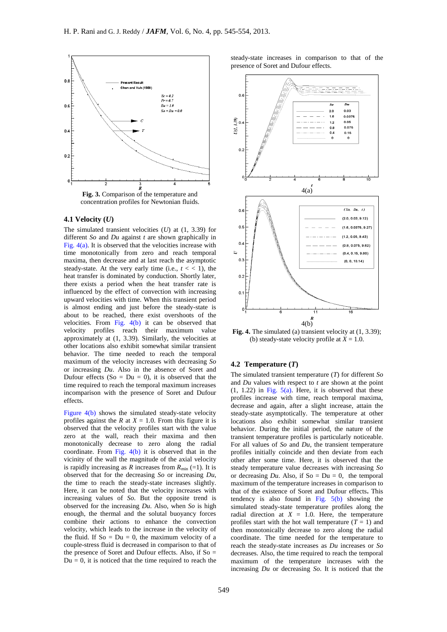

#### **4.1 Velocity (***U***)**

The simulated transient velocities (*U*) at (1, 3.39) for different *So* and *Du* against *t* are shown graphically in Fig. 4(a). It is observed that the velocities increase with time monotonically from zero and reach temporal maxima, then decrease and at last reach the asymptotic steady-state. At the very early time (i.e.,  $t < 1$ ), the heat transfer is dominated by conduction. Shortly later, there exists a period when the heat transfer rate is influenced by the effect of convection with increasing upward velocities with time. When this transient period is almost ending and just before the steady-state is about to be reached, there exist overshoots of the velocities. From Fig. 4(b) it can be observed that velocity profiles reach their maximum value approximately at (1, 3.39). Similarly, the velocities at other locations also exhibit somewhat similar transient behavior. The time needed to reach the temporal maximum of the velocity increases with decreasing *So* or increasing *Du*. Also in the absence of Soret and Dufour effects ( $\text{So} = \text{Du} = 0$ ), it is observed that the time required to reach the temporal maximum increases incomparison with the presence of Soret and Dufour effects.

Figure 4(b) shows the simulated steady-state velocity profiles against the *R* at  $X = 1.0$ . From this figure it is observed that the velocity profiles start with the value zero at the wall, reach their maxima and then monotonically decrease to zero along the radial coordinate. From Fig. 4(b) it is observed that in the vicinity of the wall the magnitude of the axial velocity is rapidly increasing as *R* increases from  $R_{\text{min}}$  (=1). It is observed that for the decreasing *So* or increasing *Du*, the time to reach the steady-state increases slightly. Here, it can be noted that the velocity increases with increasing values of *So*. But the opposite trend is observed for the increasing *Du*. Also, when *So* is high enough, the thermal and the solutal buoyancy forces combine their actions to enhance the convection velocity, which leads to the increase in the velocity of the fluid. If  $So = Du = 0$ , the maximum velocity of a couple-stress fluid is decreased in comparison to that of the presence of Soret and Dufour effects. Also, if  $So =$  $Du = 0$ , it is noticed that the time required to reach the

steady-state increases in comparison to that of the presence of Soret and Dufour effects.



**Fig. 4.** The simulated (a) transient velocity at (1, 3.39); (b) steady-state velocity profile at  $X = 1.0$ .

## **4.2 Temperature (***T***)**

The simulated transient temperature (*T*) for different *So* and *Du* values with respect to *t* are shown at the point  $(1, 1.22)$  in Fig. 5(a). Here, it is observed that these profiles increase with time, reach temporal maxima, decrease and again, after a slight increase, attain the steady-state asymptotically. The temperature at other locations also exhibit somewhat similar transient behavior. During the initial period, the nature of the transient temperature profiles is particularly noticeable. For all values of *So* and *Du*, the transient temperature profiles initially coincide and then deviate from each other after some time. Here, it is observed that the steady temperature value decreases with increasing *So* or decreasing  $Du$ . Also, if So =  $Du = 0$ , the temporal maximum of the temperature increases in comparison to that of the existence of Soret and Dufour effects**.** This tendency is also found in Fig.  $5(b)$  showing the simulated steady-state temperature profiles along the radial direction at  $X = 1.0$ . Here, the temperature profiles start with the hot wall temperature  $(T = 1)$  and then monotonically decrease to zero along the radial coordinate. The time needed for the temperature to reach the steady-state increases as *Du* increases or *So* decreases. Also, the time required to reach the temporal maximum of the temperature increases with the increasing *Du* or decreasing *So*. It is noticed that the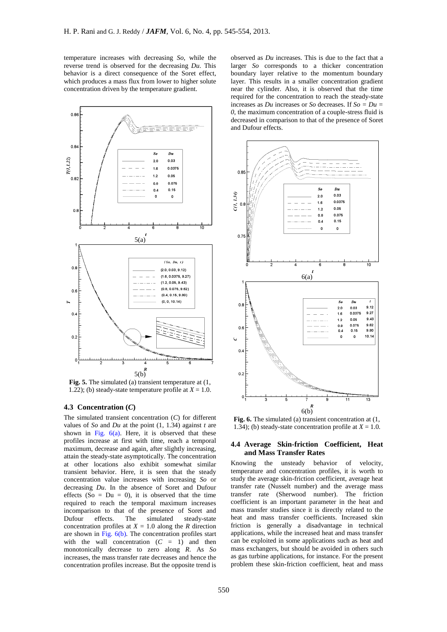temperature increases with decreasing *So*, while the reverse trend is observed for the decreasing *Du*. This behavior is a direct consequence of the Soret effect, which produces a mass flux from lower to higher solute concentration driven by the temperature gradient.



**Fig. 5.** The simulated (a) transient temperature at (1, 1.22); (b) steady-state temperature profile at  $X = 1.0$ .

# **4.3 Concentration (***C***)**

The simulated transient concentration (*C*) for different values of *So* and *Du* at the point (1, 1.34) against *t* are shown in Fig.  $6(a)$ . Here, it is observed that these profiles increase at first with time, reach a temporal maximum, decrease and again, after slightly increasing, attain the steady-state asymptotically. The concentration at other locations also exhibit somewhat similar transient behavior. Here, it is seen that the steady concentration value increases with increasing *So* or decreasing *Du*. In the absence of Soret and Dufour effects (So =  $Du = 0$ ), it is observed that the time required to reach the temporal maximum increases incomparison to that of the presence of Soret and Dufour effects. The simulated steady-state concentration profiles at  $X = 1.0$  along the *R* direction are shown in Fig. 6(b). The concentration profiles start with the wall concentration  $(C = 1)$  and then monotonically decrease to zero along *R*. As *So* increases, the mass transfer rate decreases and hence the concentration profiles increase. But the opposite trend is

observed as *Du* increases. This is due to the fact that a larger *So* corresponds to a thicker concentration boundary layer relative to the momentum boundary layer. This results in a smaller concentration gradient near the cylinder. Also, it is observed that the time required for the concentration to reach the steady-state increases as *Du* increases or *So* decreases. If *So = Du = 0*, the maximum concentration of a couple-stress fluid is decreased in comparison to that of the presence of Soret and Dufour effects.



**Fig. 6.** The simulated (a) transient concentration at (1, 1.34); (b) steady-state concentration profile at  $X = 1.0$ .

## **4.4 Average Skin-friction Coefficient, Heat and Mass Transfer Rates**

Knowing the unsteady behavior of velocity, temperature and concentration profiles, it is worth to study the average skin-friction coefficient, average heat transfer rate (Nusselt number) and the average mass transfer rate (Sherwood number). The friction coefficient is an important parameter in the heat and mass transfer studies since it is directly related to the heat and mass transfer coefficients. Increased skin friction is generally a disadvantage in technical applications, while the increased heat and mass transfer can be exploited in some applications such as heat and mass exchangers, but should be avoided in others such as gas turbine applications, for instance. For the present problem these skin-friction coefficient, heat and mass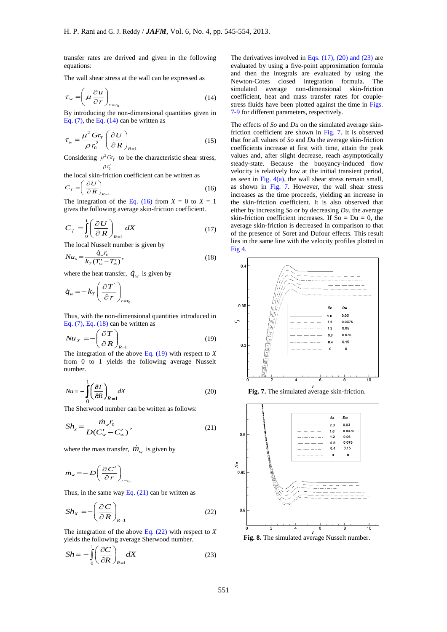transfer rates are derived and given in the following equations:

The wall shear stress at the wall can be expressed as

$$
\tau_{w} = \left(\mu \frac{\partial u}{\partial r}\right)_{r=r_{0}}\tag{14}
$$

By introducing the non-dimensional quantities given in Eq.  $(7)$ , the Eq.  $(14)$  can be written as

$$
\tau_{w} = \frac{\mu^{2} G r_{T}}{\rho r_{0}^{2}} \left( \frac{\partial U}{\partial R} \right)_{R=1}
$$
\n(15)

Considering  $\mu^2 G r$  to be the characteristic shear stress,  $\rho r_0^2$ 

the local skin-friction coefficient can be written as

$$
C_f = \left(\frac{\partial U}{\partial R}\right)_{R=1} \tag{16}
$$

The integration of the Eq. (16) from  $X = 0$  to  $X = 1$ gives the following average skin-friction coefficient.

$$
\overline{C_f} = \int_0^1 \left(\frac{\partial U}{\partial R}\right)_{R=1} dX \tag{17}
$$

The local Nusselt number is given by  
\n
$$
Nu_x = \frac{\dot{q}_w r_0}{k_T (T'_w - T'_\infty)},
$$
\n(18)

where the heat transfer,  $\dot{q}_w$  is given by

$$
\dot{q}_w = -k_T \left( \frac{\partial T}{\partial r} \right)_{r=r_0}
$$

Thus, with the non-dimensional quantities introduced in Eq. (7), Eq. (18) can be written as

$$
Nu_{X} = -\left(\frac{\partial T}{\partial R}\right)_{R=1}
$$
\n(19)

The integration of the above Eq. (19) with respect to *X* from 0 to 1 yields the following average Nusselt number.

$$
\overline{Nu} = -\int_{0}^{1} \left(\frac{\partial T}{\partial R}\right)_{R=1} dX
$$
\n(20)

The Sherwood number can be written as follows:

$$
Sh_x = \frac{\dot{m}_w r_0}{D(C_w' - C_w')},
$$
\n(21)

where the mass transfer,  $\dot{m}_{w}$  is given by

$$
\dot{m}_{w} = -D \left( \frac{\partial C'}{\partial r} \right)_{r=r_0}
$$

Thus, in the same way Eq.  $(21)$  can be written as

$$
Sh_{X} = -\left(\frac{\partial C}{\partial R}\right)_{R=1}
$$
 (22)

The integration of the above Eq. (22) with respect to *X* yields the following average Sherwood number.

$$
\overline{Sh} = -\int_{0}^{1} \left(\frac{\partial C}{\partial R}\right)_{R=1} dX
$$
 (23)

The derivatives involved in Eqs.  $(17)$ ,  $(20)$  and  $(23)$  are evaluated by using a five-point approximation formula and then the integrals are evaluated by using the Newton-Cotes closed integration formula. The simulated average non-dimensional skin-friction coefficient, heat and mass transfer rates for couplestress fluids have been plotted against the time in Figs. 7-9 for different parameters, respectively.

The effects of *So* and *Du* on the simulated average skinfriction coefficient are shown in Fig. 7. It is observed that for all values of *So* and *Du* the average skin-friction coefficients increase at first with time, attain the peak values and, after slight decrease, reach asymptotically steady-state. Because the buoyancy-induced flow velocity is relatively low at the initial transient period, as seen in Fig.  $4(a)$ , the wall shear stress remain small, as shown in Fig. 7. However, the wall shear stress increases as the time proceeds, yielding an increase in the skin-friction coefficient. It is also observed that either by increasing *So* or by decreasing *Du*, the average skin-friction coefficient increases. If  $So = Du = 0$ , the average skin-friction is decreased in comparison to that of the presence of Soret and Dufour effects. This result lies in the same line with the velocity profiles plotted in Fig 4.



**Fig. 7.** The simulated average skin-friction.

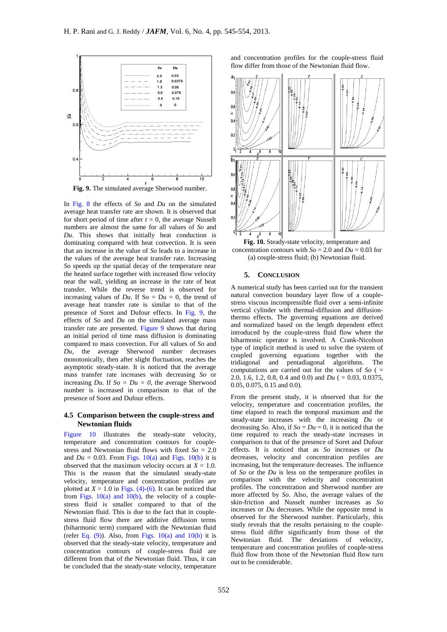

**Fig. 9.** The simulated average Sherwood number.

In Fig. 8 the effects of *So* and *Du* on the simulated average heat transfer rate are shown. It is observed that for short period of time after  $t = 0$ , the average Nusselt numbers are almost the same for all values of *So* and *Du*. This shows that initially heat conduction is dominating compared with heat convection. It is seen that an increase in the value of *So* leads to a increase in the values of the average heat transfer rate. Increasing *So* speeds up the spatial decay of the temperature near the heated surface together with increased flow velocity near the wall, yielding an increase in the rate of heat transfer. While the reverse trend is observed for increasing values of  $Du$ . If So =  $Du = 0$ , the trend of average heat transfer rate is similar to that of the presence of Soret and Dufour effects. In Fig. 9, the effects of *So* and *Du* on the simulated average mass transfer rate are presented. Figure 9 shows that during an initial period of time mass diffusion is dominating compared to mass convection. For all values of *So* and *Du*, the average Sherwood number decreases monotonically, then after slight fluctuation, reaches the asymptotic steady-state. It is noticed that the average mass transfer rate increases with decreasing *So* or increasing *Du*. If  $So = Du = 0$ , the average Sherwood number is increased in comparison to that of the presence of Soret and Dufour effects.

# **4.5 Comparison between the couple-stress and Newtonian fluids**

Figure 10 illustrates the steady-state velocity, temperature and concentration contours for couplestress and Newtonian fluid flows with fixed  $So = 2.0$ and  $Du = 0.03$ . From Figs.  $10(a)$  and Figs.  $10(b)$  it is observed that the maximum velocity occurs at  $X = 1.0$ . This is the reason that the simulated steady-state velocity, temperature and concentration profiles are plotted at  $X = 1.0$  in Figs. (4)-(6). It can be noticed that from Figs.  $10(a)$  and  $10(b)$ , the velocity of a couplestress fluid is smaller compared to that of the Newtonian fluid. This is due to the fact that in couplestress fluid flow there are additive diffusion terms (biharmonic term) compared with the Newtonian fluid (refer Eq.  $(9)$ ). Also, from Figs.  $10(a)$  and  $10(b)$  it is observed that the steady-state velocity, temperature and concentration contours of couple-stress fluid are different from that of the Newtonian fluid. Thus, it can be concluded that the steady-state velocity, temperature

and concentration profiles for the couple-stress fluid flow differ from those of the Newtonian fluid flow.



**Fig. 10.** Steady-state velocity, temperature and concentration contours with  $So = 2.0$  and  $Du = 0.03$  for (a) couple-stress fluid; (b) Newtonian fluid.

#### **5. CONCLUSION**

A numerical study has been carried out for the transient natural convection boundary layer flow of a couplestress viscous incompressible fluid over a semi-infinite vertical cylinder with thermal-diffusion and diffusionthermo effects. The governing equations are derived and normalized based on the length dependent effect introduced by the couple-stress fluid flow where the biharmonic operator is involved. A Crank-Nicolson type of implicit method is used to solve the system of coupled governing equations together with the tridiagonal and pentadiagonal algorithms. The computations are carried out for the values of *So* ( = 2.0, 1.6, 1.2, 0.8, 0.4 and 0.0) and *Du* ( $= 0.03$ , 0.0375, 0.05, 0.075, 0.15 and 0.0).

From the present study, it is observed that for the velocity, temperature and concentration profiles, the time elapsed to reach the temporal maximum and the steady-state increases with the increasing *Du* or decreasing *So*. Also, if  $So = Du = 0$ , it is noticed that the time required to reach the steady-state increases in comparison to that of the presence of Soret and Dufour effects. It is noticed that as *So* increases or *Du* decreases, velocity and concentration profiles are increasing, but the temperature decreases. The influence of *So* or the *Du* is less on the temperature profiles in comparison with the velocity and concentration profiles. The concentration and Sherwood number are more affected by *So*. Also, the average values of the skin-friction and Nusselt number increases as *So* increases or *Du* decreases. While the opposite trend is observed for the Sherwood number. Particularly, this study reveals that the results pertaining to the couplestress fluid differ significantly from those of the Newtonian fluid. The deviations of velocity, temperature and concentration profiles of couple-stress fluid flow from those of the Newtonian fluid flow turn out to be considerable.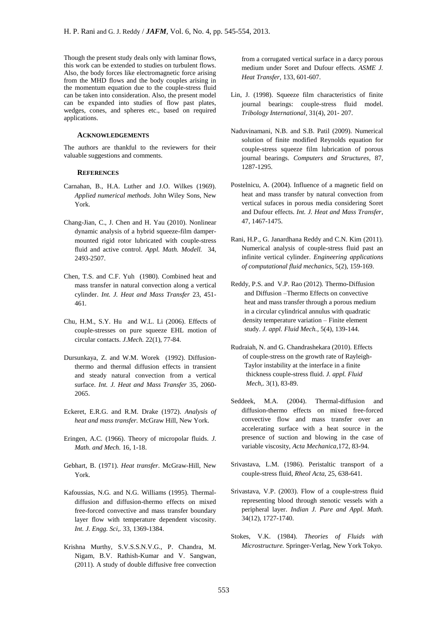Though the present study deals only with laminar flows, this work can be extended to studies on turbulent flows. Also, the body forces like electromagnetic force arising from the MHD flows and the body couples arising in the momentum equation due to the couple-stress fluid can be taken into consideration. Also, the present model can be expanded into studies of flow past plates, wedges, cones, and spheres etc., based on required applications.

## **ACKNOWLEDGEMENTS**

The authors are thankful to the reviewers for their valuable suggestions and comments.

## **REFERENCES**

- Carnahan, B., H.A. Luther and J.O. Wilkes (1969). *Applied numerical methods*. John Wiley Sons, New York.
- Chang-Jian, C., J. Chen and H. Yau (2010). Nonlinear dynamic analysis of a hybrid squeeze-film dampermounted rigid rotor lubricated with couple-stress fluid and active control. *Appl. Math. Modell.* 34, 2493-2507.
- Chen, T.S. and C.F. Yuh (1980). Combined heat and mass transfer in natural convection along a vertical cylinder. *Int. J. Heat and Mass Transfer* 23, 451- 461.
- Chu, H.M., S.Y. Hu and W.L. Li (2006). Effects of couple-stresses on pure squeeze EHL motion of circular contacts. *J.Mech.* 22(1), 77-84.
- Dursunkaya, Z. and W.M. Worek (1992). Diffusionthermo and thermal diffusion effects in transient and steady natural convection from a vertical surface. *Int. J. Heat and Mass Transfer* 35, 2060- 2065.
- Eckeret, E.R.G. and R.M. Drake (1972). *Analysis of heat and mass transfer.* McGraw Hill, New York.
- Eringen, A.C. (1966). Theory of micropolar fluids. *J. Math. and Mech.* 16, 1-18.
- Gebhart, B. (1971). *Heat transfer*. McGraw-Hill, New York.
- Kafoussias, N.G. and N.G. Williams (1995). Thermaldiffusion and diffusion-thermo effects on mixed free-forced convective and mass transfer boundary layer flow with temperature dependent viscosity. *Int. J. Engg. Sci,.* 33, 1369-1384.
- Krishna Murthy, S.V.S.S.N.V.G., P. Chandra, M. Nigam, B.V. Rathish-Kumar and V. Sangwan, (2011). A study of double diffusive free convection

from a corrugated vertical surface in a darcy porous medium under Soret and Dufour effects. *ASME J. Heat Transfer,* 133, 601-607.

- Lin, J. (1998). Squeeze film characteristics of finite journal bearings: couple-stress fluid model. *Tribology International,* 31(4), 201- 207.
- Naduvinamani, N.B. and S.B. Patil (2009). Numerical solution of finite modified Reynolds equation for couple-stress squeeze film lubrication of porous journal bearings. *Computers and Structures,* 87, 1287-1295.
- Postelnicu, A. (2004). Influence of a magnetic field on heat and mass transfer by natural convection from vertical sufaces in porous media considering Soret and Dufour effects. *Int. J. Heat and Mass Transfer,* 47, 1467-1475.
- Rani, H.P., G. Janardhana Reddy and C.N. Kim (2011). Numerical analysis of couple-stress fluid past an infinite vertical cylinder. *Engineering applications of computational fluid mechanics,* 5(2), 159-169.
- Reddy, P.S. and V.P. Rao (2012). Thermo-Diffusion and Diffusion –Thermo Effects on convective heat and mass transfer through a porous medium in a circular cylindrical annulus with quadratic density temperature variation – Finite element study. *J. appl. Fluid Mech.,* 5(4), 139-144.
- Rudraiah, N. and G. Chandrashekara (2010). Effects of couple-stress on the growth rate of Rayleigh- Taylor instability at the interface in a finite thickness couple-stress fluid. *J. appl. Fluid Mech,.* 3(1), 83-89.
- Seddeek, M.A. (2004). Thermal-diffusion and diffusion-thermo effects on mixed free-forced convective flow and mass transfer over an accelerating surface with a heat source in the presence of suction and blowing in the case of variable viscosity, *Acta Mechanica*,172, 83-94.
- Srivastava, L.M. (1986). Peristaltic transport of a couple-stress fluid, *Rheol Acta,* 25, 638-641.
- Srivastava, V.P. (2003). Flow of a couple-stress fluid representing blood through stenotic vessels with a peripheral layer. *Indian J. Pure and Appl. Math.* 34(12), 1727-1740.
- Stokes, V.K. (1984). *Theories of Fluids with Microstructure.* Springer-Verlag, New York Tokyo.